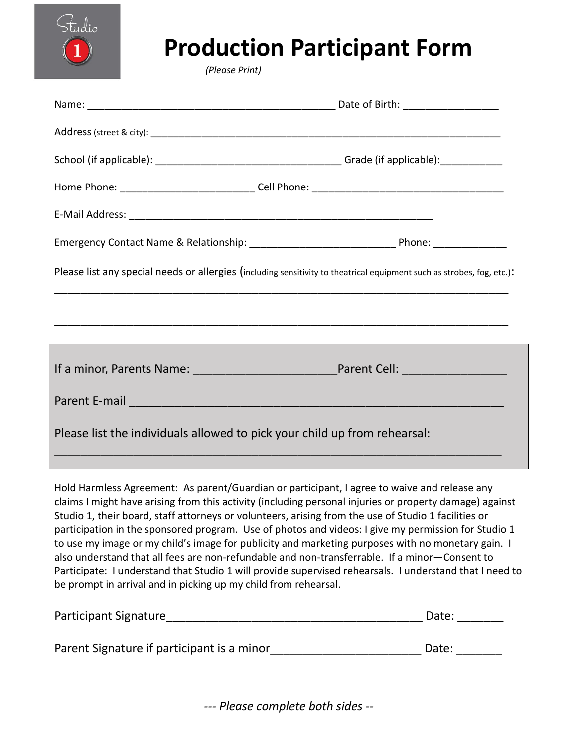

## **Production Participant Form**

 *(Please Print)*

|                                                                                                                                                                                                                                | Please list any special needs or allergies (including sensitivity to theatrical equipment such as strobes, fog, etc.): |
|--------------------------------------------------------------------------------------------------------------------------------------------------------------------------------------------------------------------------------|------------------------------------------------------------------------------------------------------------------------|
|                                                                                                                                                                                                                                |                                                                                                                        |
|                                                                                                                                                                                                                                |                                                                                                                        |
|                                                                                                                                                                                                                                |                                                                                                                        |
| Parent E-mail entertainment and the mail of the mail of the mail of the mail of the mail of the mail of the mail of the mail of the mail of the mail of the mail of the mail of the mail of the mail of the mail of the mail o |                                                                                                                        |
| Please list the individuals allowed to pick your child up from rehearsal:                                                                                                                                                      |                                                                                                                        |
|                                                                                                                                                                                                                                |                                                                                                                        |

Hold Harmless Agreement: As parent/Guardian or participant, I agree to waive and release any claims I might have arising from this activity (including personal injuries or property damage) against Studio 1, their board, staff attorneys or volunteers, arising from the use of Studio 1 facilities or participation in the sponsored program. Use of photos and videos: I give my permission for Studio 1 to use my image or my child's image for publicity and marketing purposes with no monetary gain. I also understand that all fees are non-refundable and non-transferrable. If a minor—Consent to Participate: I understand that Studio 1 will provide supervised rehearsals. I understand that I need to be prompt in arrival and in picking up my child from rehearsal.

| Participant Signature                      |       | Date: |
|--------------------------------------------|-------|-------|
|                                            |       |       |
| Parent Signature if participant is a minor | Date: |       |

*--- Please complete both sides --*